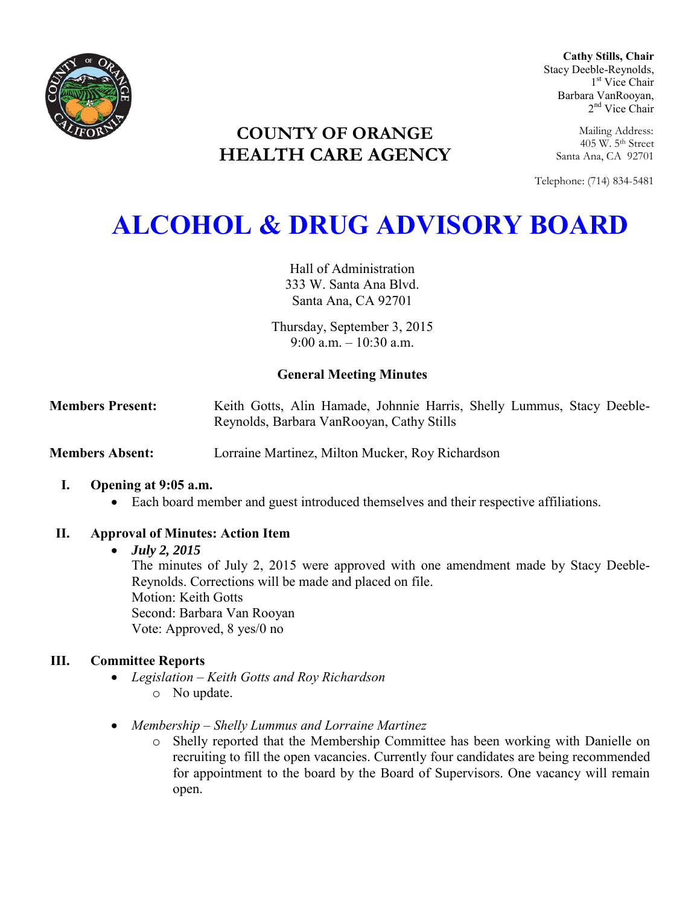

**Cathy Stills, Chair** Stacy Deeble-Reynolds, 1 st Vice Chair Barbara VanRooyan, 2<sup>nd</sup> Vice Chair

> Mailing Address: 405 W. 5th Street Santa Ana, CA 92701

Telephone: (714) 834-5481

# **COUNTY OF ORANGE HEALTH CARE AGENCY**

# **ALCOHOL & DRUG ADVISORY BOARD**

Hall of Administration 333 W. Santa Ana Blvd. Santa Ana, CA 92701

Thursday, September 3, 2015 9:00 a.m. – 10:30 a.m.

# **General Meeting Minutes**

**Members Present:** Keith Gotts, Alin Hamade, Johnnie Harris, Shelly Lummus, Stacy Deeble-Reynolds, Barbara VanRooyan, Cathy Stills

**Members Absent:** Lorraine Martinez, Milton Mucker, Roy Richardson

# **I. Opening at 9:05 a.m.**

Each board member and guest introduced themselves and their respective affiliations.

# **II. Approval of Minutes: Action Item**

# *July 2, 2015*

The minutes of July 2, 2015 were approved with one amendment made by Stacy Deeble-Reynolds. Corrections will be made and placed on file. Motion: Keith Gotts Second: Barbara Van Rooyan Vote: Approved, 8 yes/0 no

# **III. Committee Reports**

- *Legislation – Keith Gotts and Roy Richardson*  o No update.
- *Membership – Shelly Lummus and Lorraine Martinez* 
	- o Shelly reported that the Membership Committee has been working with Danielle on recruiting to fill the open vacancies. Currently four candidates are being recommended for appointment to the board by the Board of Supervisors. One vacancy will remain open.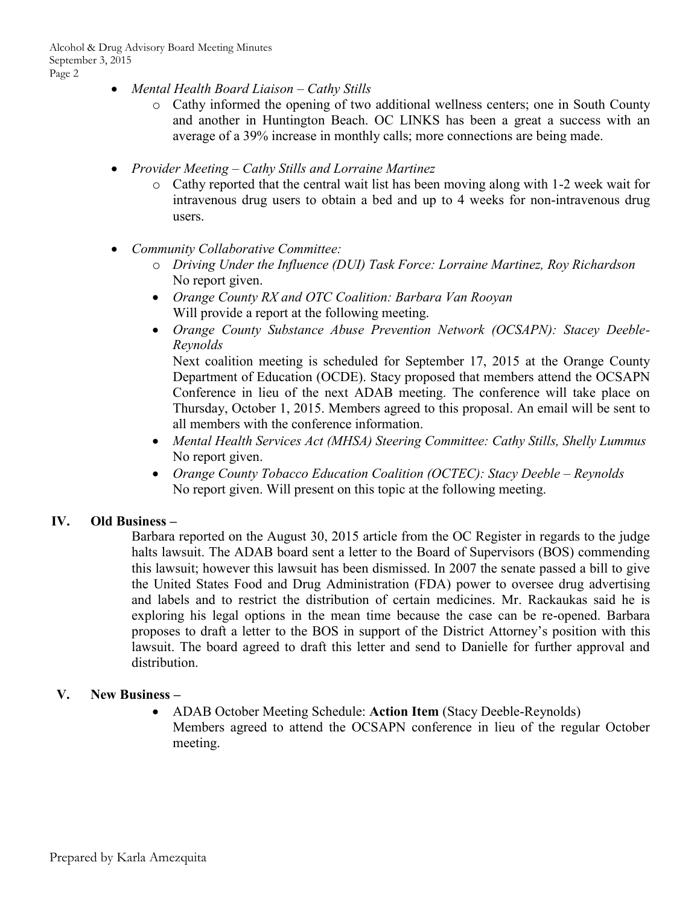- *Mental Health Board Liaison Cathy Stills* 
	- o Cathy informed the opening of two additional wellness centers; one in South County and another in Huntington Beach. OC LINKS has been a great a success with an average of a 39% increase in monthly calls; more connections are being made.
- *Provider Meeting Cathy Stills and Lorraine Martinez* 
	- o Cathy reported that the central wait list has been moving along with 1-2 week wait for intravenous drug users to obtain a bed and up to 4 weeks for non-intravenous drug users.
- *Community Collaborative Committee:* 
	- o *Driving Under the Influence (DUI) Task Force: Lorraine Martinez, Roy Richardson*  No report given.
	- *Orange County RX and OTC Coalition: Barbara Van Rooyan*  Will provide a report at the following meeting.
	- *Orange County Substance Abuse Prevention Network (OCSAPN): Stacey Deeble-Reynolds*

Next coalition meeting is scheduled for September 17, 2015 at the Orange County Department of Education (OCDE). Stacy proposed that members attend the OCSAPN Conference in lieu of the next ADAB meeting. The conference will take place on Thursday, October 1, 2015. Members agreed to this proposal. An email will be sent to all members with the conference information.

- *Mental Health Services Act (MHSA) Steering Committee: Cathy Stills, Shelly Lummus*  No report given.
- *Orange County Tobacco Education Coalition (OCTEC): Stacy Deeble Reynolds*  No report given. Will present on this topic at the following meeting.

#### **IV. Old Business –**

Barbara reported on the August 30, 2015 article from the OC Register in regards to the judge halts lawsuit. The ADAB board sent a letter to the Board of Supervisors (BOS) commending this lawsuit; however this lawsuit has been dismissed. In 2007 the senate passed a bill to give the United States Food and Drug Administration (FDA) power to oversee drug advertising and labels and to restrict the distribution of certain medicines. Mr. Rackaukas said he is exploring his legal options in the mean time because the case can be re-opened. Barbara proposes to draft a letter to the BOS in support of the District Attorney's position with this lawsuit. The board agreed to draft this letter and send to Danielle for further approval and distribution.

#### **V. New Business –**

 ADAB October Meeting Schedule: **Action Item** (Stacy Deeble-Reynolds) Members agreed to attend the OCSAPN conference in lieu of the regular October meeting.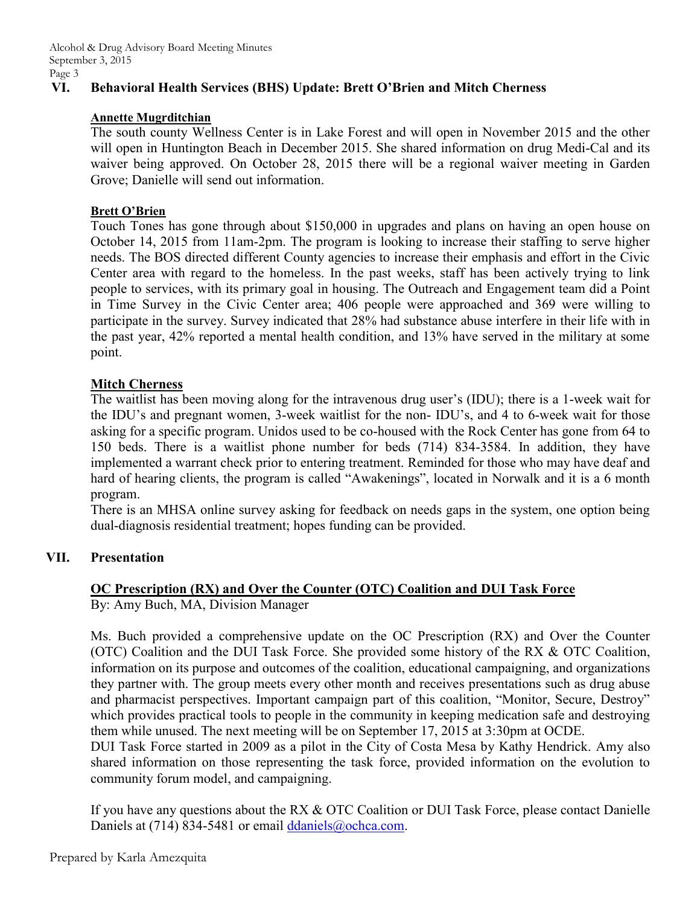# **VI. Behavioral Health Services (BHS) Update: Brett O'Brien and Mitch Cherness**

#### **Annette Mugrditchian**

The south county Wellness Center is in Lake Forest and will open in November 2015 and the other will open in Huntington Beach in December 2015. She shared information on drug Medi-Cal and its waiver being approved. On October 28, 2015 there will be a regional waiver meeting in Garden Grove; Danielle will send out information.

#### **Brett O'Brien**

Touch Tones has gone through about \$150,000 in upgrades and plans on having an open house on October 14, 2015 from 11am-2pm. The program is looking to increase their staffing to serve higher needs. The BOS directed different County agencies to increase their emphasis and effort in the Civic Center area with regard to the homeless. In the past weeks, staff has been actively trying to link people to services, with its primary goal in housing. The Outreach and Engagement team did a Point in Time Survey in the Civic Center area; 406 people were approached and 369 were willing to participate in the survey. Survey indicated that 28% had substance abuse interfere in their life with in the past year, 42% reported a mental health condition, and 13% have served in the military at some point.

#### **Mitch Cherness**

The waitlist has been moving along for the intravenous drug user's (IDU); there is a 1-week wait for the IDU's and pregnant women, 3-week waitlist for the non- IDU's, and 4 to 6-week wait for those asking for a specific program. Unidos used to be co-housed with the Rock Center has gone from 64 to 150 beds. There is a waitlist phone number for beds (714) 834-3584. In addition, they have implemented a warrant check prior to entering treatment. Reminded for those who may have deaf and hard of hearing clients, the program is called "Awakenings", located in Norwalk and it is a 6 month program.

There is an MHSA online survey asking for feedback on needs gaps in the system, one option being dual-diagnosis residential treatment; hopes funding can be provided.

#### **VII. Presentation**

# **OC Prescription (RX) and Over the Counter (OTC) Coalition and DUI Task Force**

By: Amy Buch, MA, Division Manager

Ms. Buch provided a comprehensive update on the OC Prescription (RX) and Over the Counter (OTC) Coalition and the DUI Task Force. She provided some history of the RX & OTC Coalition, information on its purpose and outcomes of the coalition, educational campaigning, and organizations they partner with. The group meets every other month and receives presentations such as drug abuse and pharmacist perspectives. Important campaign part of this coalition, "Monitor, Secure, Destroy" which provides practical tools to people in the community in keeping medication safe and destroying them while unused. The next meeting will be on September 17, 2015 at 3:30pm at OCDE.

DUI Task Force started in 2009 as a pilot in the City of Costa Mesa by Kathy Hendrick. Amy also shared information on those representing the task force, provided information on the evolution to community forum model, and campaigning.

If you have any questions about the RX & OTC Coalition or DUI Task Force, please contact Danielle Daniels at (714) 834-5481 or email [ddaniels@ochca.com.](mailto:ddaniels@ochca.com)